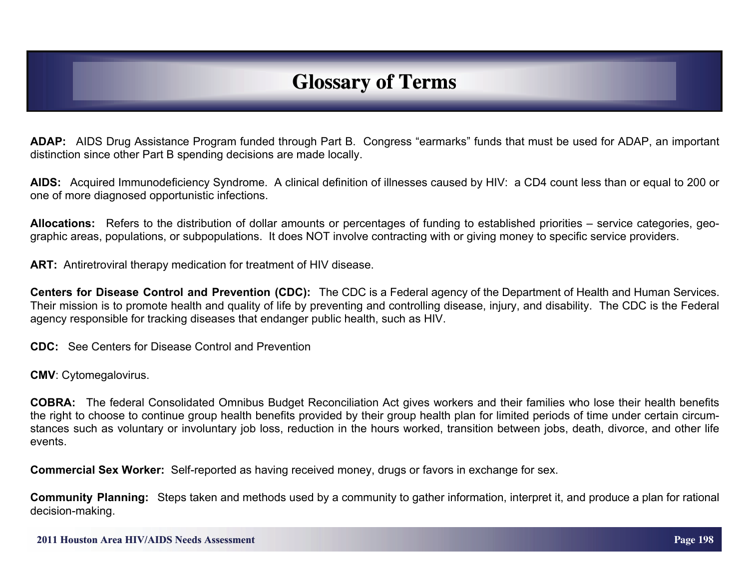**ADAP:** AIDS Drug Assistance Program funded through Part B. Congress "earmarks" funds that must be used for ADAP, an important distinction since other Part B spending decisions are made locally.

**AIDS:** Acquired Immunodeficiency Syndrome. A clinical definition of illnesses caused by HIV: a CD4 count less than or equal to 200 or one of more diagnosed opportunistic infections.

**Allocations:** Refers to the distribution of dollar amounts or percentages of funding to established priorities – service categories, geographic areas, populations, or subpopulations. It does NOT involve contracting with or giving money to specific service providers.

**ART:** Antiretroviral therapy medication for treatment of HIV disease.

**Centers for Disease Control and Prevention (CDC):** The CDC is a Federal agency of the Department of Health and Human Services. Their mission is to promote health and quality of life by preventing and controlling disease, injury, and disability. The CDC is the Federal agency responsible for tracking diseases that endanger public health, such as HIV.

**CDC:** See Centers for Disease Control and Prevention

**CMV**: Cytomegalovirus.

**COBRA:** The federal Consolidated Omnibus Budget Reconciliation Act gives workers and their families who lose their health benefits the right to choose to continue group health benefits provided by their group health plan for limited periods of time under certain circumstances such as voluntary or involuntary job loss, reduction in the hours worked, transition between jobs, death, divorce, and other life events.

**Commercial Sex Worker:** Self-reported as having received money, drugs or favors in exchange for sex.

**Community Planning:** Steps taken and methods used by a community to gather information, interpret it, and produce a plan for rational decision-making.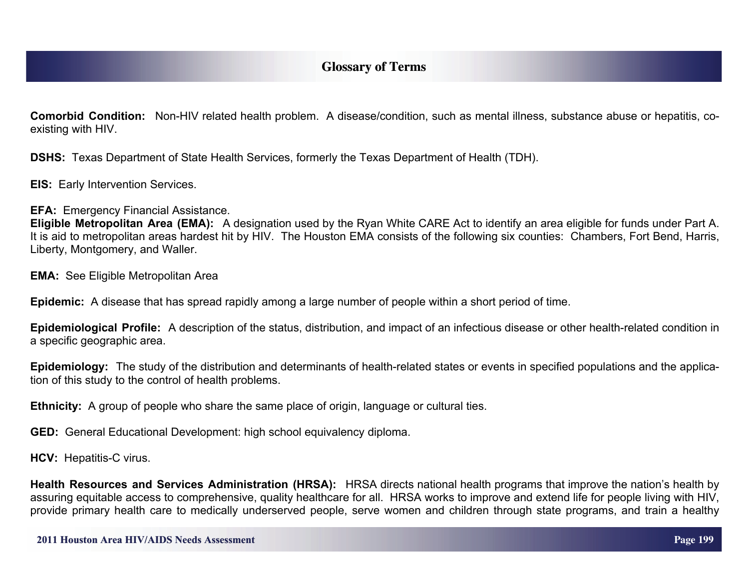**Comorbid Condition:** Non-HIV related health problem. A disease/condition, such as mental illness, substance abuse or hepatitis, coexisting with HIV.

**DSHS:** Texas Department of State Health Services, formerly the Texas Department of Health (TDH).

**EIS:** Early Intervention Services.

**EFA:** Emergency Financial Assistance.

**Eligible Metropolitan Area (EMA):** A designation used by the Ryan White CARE Act to identify an area eligible for funds under Part A. It is aid to metropolitan areas hardest hit by HIV. The Houston EMA consists of the following six counties: Chambers, Fort Bend, Harris, Liberty, Montgomery, and Waller.

**EMA:** See Eligible Metropolitan Area

**Epidemic:** A disease that has spread rapidly among a large number of people within a short period of time.

**Epidemiological Profile:** A description of the status, distribution, and impact of an infectious disease or other health-related condition in a specific geographic area.

**Epidemiology:** The study of the distribution and determinants of health-related states or events in specified populations and the application of this study to the control of health problems.

**Ethnicity:** A group of people who share the same place of origin, language or cultural ties.

**GED:** General Educational Development: high school equivalency diploma.

**HCV:** Hepatitis-C virus.

**Health Resources and Services Administration (HRSA):** HRSA directs national health programs that improve the nation's health by assuring equitable access to comprehensive, quality healthcare for all. HRSA works to improve and extend life for people living with HIV, provide primary health care to medically underserved people, serve women and children through state programs, and train a healthy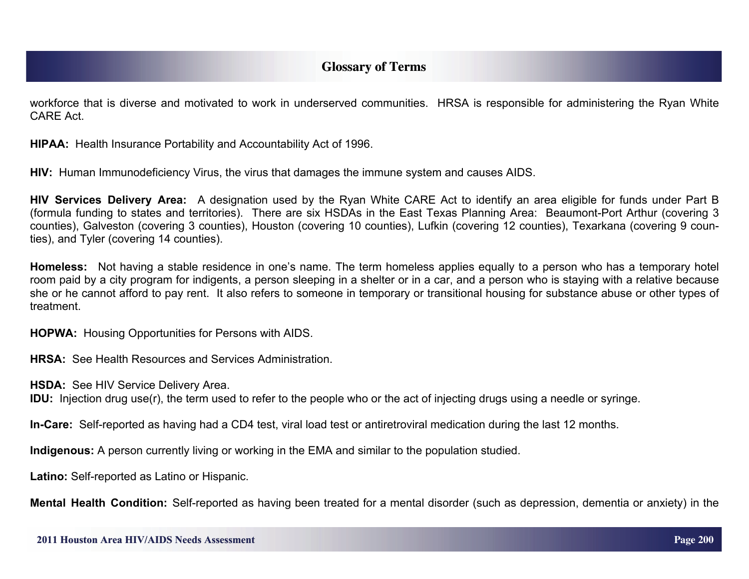workforce that is diverse and motivated to work in underserved communities. HRSA is responsible for administering the Ryan White CARE Act.

**HIPAA:** Health Insurance Portability and Accountability Act of 1996.

**HIV:** Human Immunodeficiency Virus, the virus that damages the immune system and causes AIDS.

**HIV Services Delivery Area:** A designation used by the Ryan White CARE Act to identify an area eligible for funds under Part B (formula funding to states and territories). There are six HSDAs in the East Texas Planning Area: Beaumont-Port Arthur (covering 3 counties), Galveston (covering 3 counties), Houston (covering 10 counties), Lufkin (covering 12 counties), Texarkana (covering 9 counties), and Tyler (covering 14 counties).

**Homeless:** Not having a stable residence in one's name. The term homeless applies equally to a person who has a temporary hotel room paid by a city program for indigents, a person sleeping in a shelter or in a car, and a person who is staying with a relative because she or he cannot afford to pay rent. It also refers to someone in temporary or transitional housing for substance abuse or other types of treatment.

**HOPWA:** Housing Opportunities for Persons with AIDS.

**HRSA:** See Health Resources and Services Administration.

**HSDA:** See HIV Service Delivery Area.

**IDU:** Injection drug use(r), the term used to refer to the people who or the act of injecting drugs using a needle or syringe.

**In-Care:** Self-reported as having had a CD4 test, viral load test or antiretroviral medication during the last 12 months.

**Indigenous:** A person currently living or working in the EMA and similar to the population studied.

**Latino:** Self-reported as Latino or Hispanic.

**Mental Health Condition:** Self-reported as having been treated for a mental disorder (such as depression, dementia or anxiety) in the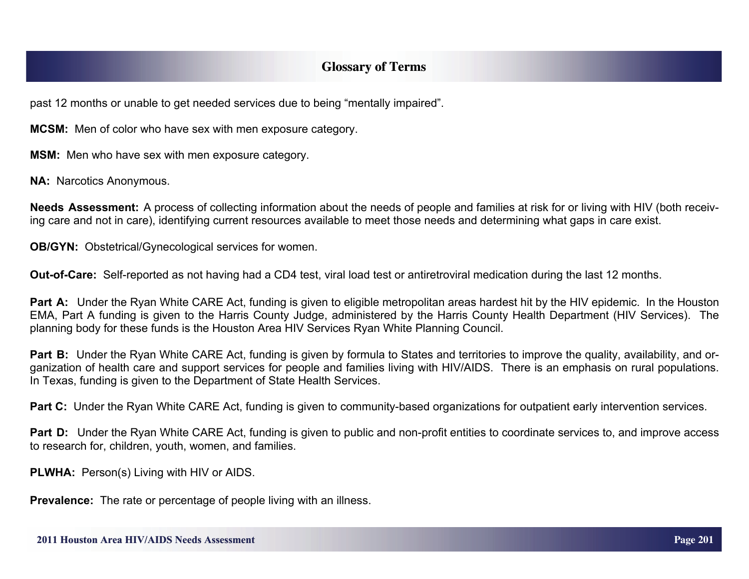past 12 months or unable to get needed services due to being "mentally impaired".

**MCSM:** Men of color who have sex with men exposure category.

**MSM:** Men who have sex with men exposure category.

**NA:** Narcotics Anonymous.

**Needs Assessment:** A process of collecting information about the needs of people and families at risk for or living with HIV (both receiving care and not in care), identifying current resources available to meet those needs and determining what gaps in care exist.

**OB/GYN:** Obstetrical/Gynecological services for women.

**Out-of-Care:** Self-reported as not having had a CD4 test, viral load test or antiretroviral medication during the last 12 months.

**Part A:** Under the Ryan White CARE Act, funding is given to eligible metropolitan areas hardest hit by the HIV epidemic. In the Houston EMA, Part A funding is given to the Harris County Judge, administered by the Harris County Health Department (HIV Services). The planning body for these funds is the Houston Area HIV Services Ryan White Planning Council.

**Part B:** Under the Ryan White CARE Act, funding is given by formula to States and territories to improve the quality, availability, and organization of health care and support services for people and families living with HIV/AIDS. There is an emphasis on rural populations. In Texas, funding is given to the Department of State Health Services.

**Part C:** Under the Ryan White CARE Act, funding is given to community-based organizations for outpatient early intervention services.

**Part D:** Under the Ryan White CARE Act, funding is given to public and non-profit entities to coordinate services to, and improve access to research for, children, youth, women, and families.

**PLWHA:** Person(s) Living with HIV or AIDS.

**Prevalence:** The rate or percentage of people living with an illness.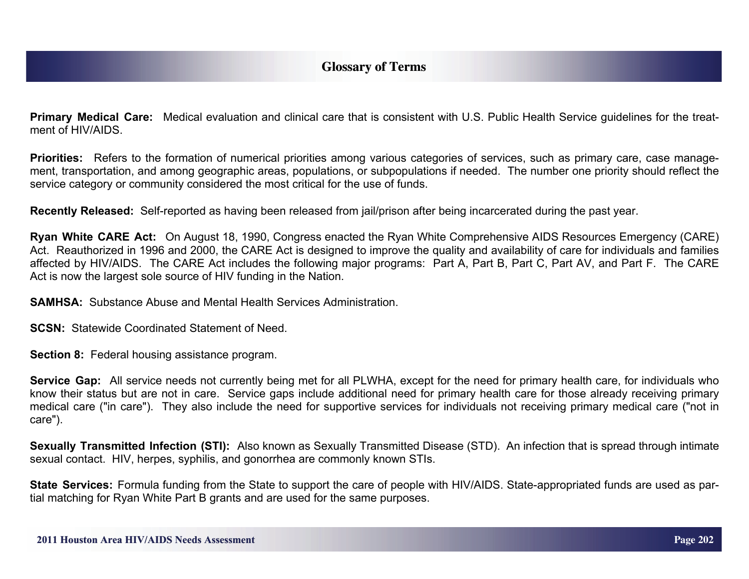**Primary Medical Care:** Medical evaluation and clinical care that is consistent with U.S. Public Health Service guidelines for the treatment of HIV/AIDS.

**Priorities:** Refers to the formation of numerical priorities among various categories of services, such as primary care, case management, transportation, and among geographic areas, populations, or subpopulations if needed. The number one priority should reflect the service category or community considered the most critical for the use of funds.

**Recently Released:** Self-reported as having been released from jail/prison after being incarcerated during the past year.

**Ryan White CARE Act:** On August 18, 1990, Congress enacted the Ryan White Comprehensive AIDS Resources Emergency (CARE) Act. Reauthorized in 1996 and 2000, the CARE Act is designed to improve the quality and availability of care for individuals and families affected by HIV/AIDS. The CARE Act includes the following major programs: Part A, Part B, Part C, Part AV, and Part F. The CARE Act is now the largest sole source of HIV funding in the Nation.

**SAMHSA:** Substance Abuse and Mental Health Services Administration.

**SCSN:** Statewide Coordinated Statement of Need.

**Section 8: Federal housing assistance program.** 

Service Gap: All service needs not currently being met for all PLWHA, except for the need for primary health care, for individuals who know their status but are not in care. Service gaps include additional need for primary health care for those already receiving primary medical care ("in care"). They also include the need for supportive services for individuals not receiving primary medical care ("not in care").

**Sexually Transmitted Infection (STI):** Also known as Sexually Transmitted Disease (STD). An infection that is spread through intimate sexual contact. HIV, herpes, syphilis, and gonorrhea are commonly known STIs.

**State Services:** Formula funding from the State to support the care of people with HIV/AIDS. State-appropriated funds are used as partial matching for Ryan White Part B grants and are used for the same purposes.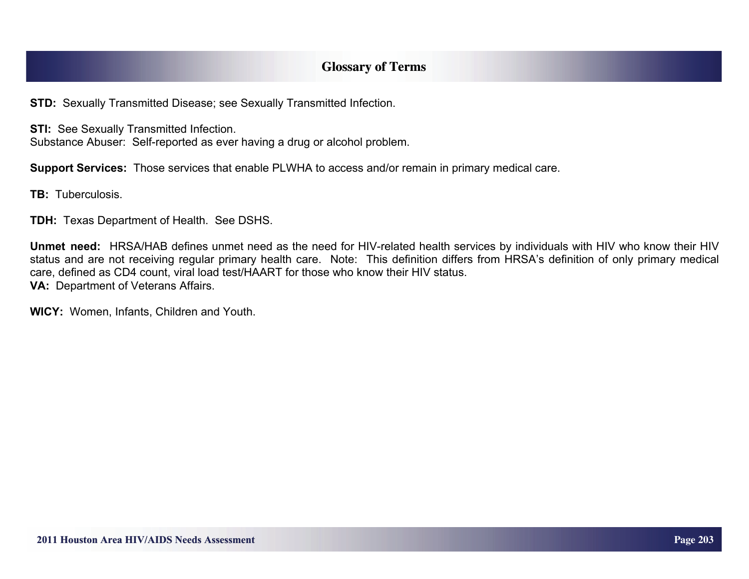**STD:** Sexually Transmitted Disease; see Sexually Transmitted Infection.

**STI:** See Sexually Transmitted Infection. Substance Abuser: Self-reported as ever having a drug or alcohol problem.

**Support Services:** Those services that enable PLWHA to access and/or remain in primary medical care.

**TB:** Tuberculosis.

**TDH:** Texas Department of Health. See DSHS.

**Unmet need:** HRSA/HAB defines unmet need as the need for HIV-related health services by individuals with HIV who know their HIV status and are not receiving regular primary health care. Note: This definition differs from HRSA's definition of only primary medical care, defined as CD4 count, viral load test/HAART for those who know their HIV status. **VA:** Department of Veterans Affairs.

**WICY:** Women, Infants, Children and Youth.